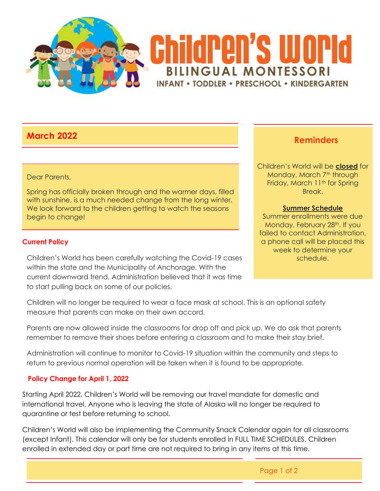

# **March 2022**

### Dear Parents,

Spring has officially broken through and the warmer days, filled with sunshine, is a much needed change from the long winter. We look forward to the children getting to watch the seasons begin to change!

## **Current Policy**

Children's World has been carefully watching the Covid-19 cases within the state and the Municipality of Anchorage. With the current downward trend, Administration believed that it was time to start pulling back on some of our policies.

## **Reminders**

Children's World will be **closed** for Monday, March 7<sup>th</sup> through Friday, March 11<sup>th</sup> for Spring Break.

#### **Summer Schedule**

Summer enrollments were due Monday, February 28<sup>th</sup>. If you failed to contact Administration, a phone call will be placed this week to determine your schedule.

Children will no longer be required to wear a face mask at school. This is an optional safety measure that parents can make on their own accord.

Parents are now allowed inside the classrooms for drop off and pick up. We do ask that parents remember to remove their shoes before entering a classroom and to make their stay brief.

Administration will continue to monitor to Covid-19 situation within the community and steps to return to previous normal operation will be taken when it is found to be appropriate.

## **Policy Change for April 1, 2022**

Starting April 2022, Children's World will be removing our travel mandate for domestic and international travel. Anyone who is leaving the state of Alaska will no longer be required to quarantine or test before returning to school.

Children's World will also be implementing the Community Snack Calendar again for all classrooms (except Infant). This calendar will only be for students enrolled in FULL TIME SCHEDULES. Children enrolled in extended day or part time are not required to bring in any items at this time.